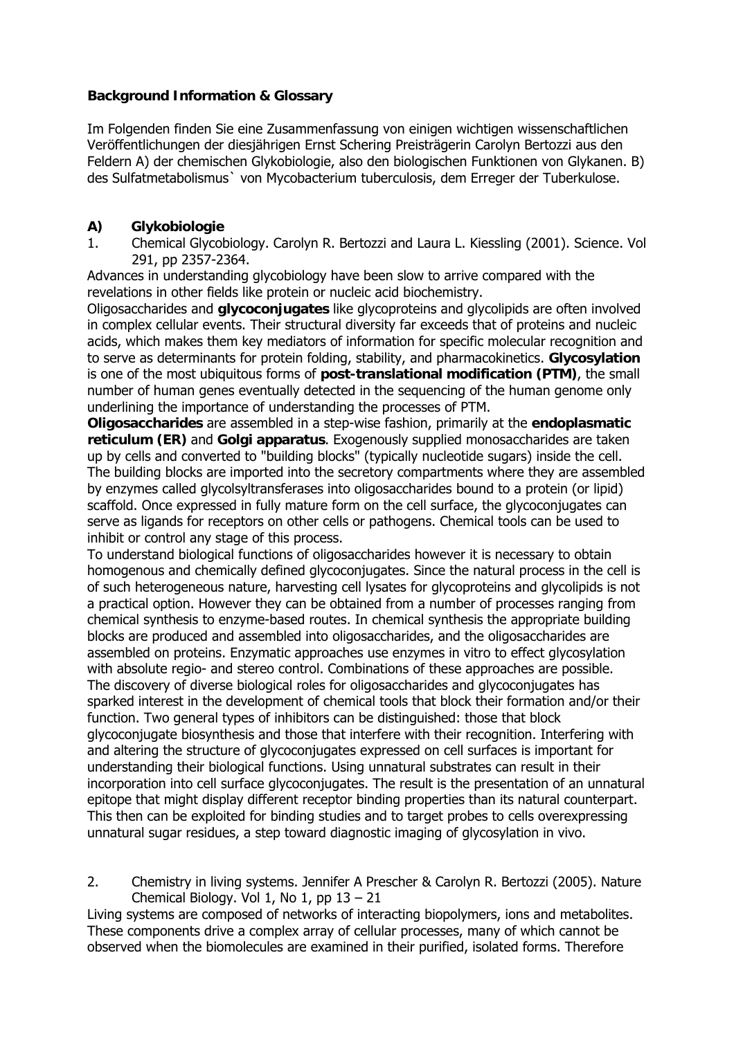# **Background Information & Glossary**

Im Folgenden finden Sie eine Zusammenfassung von einigen wichtigen wissenschaftlichen Veröffentlichungen der diesjährigen Ernst Schering Preisträgerin Carolyn Bertozzi aus den Feldern A) der chemischen Glykobiologie, also den biologischen Funktionen von Glykanen. B) des Sulfatmetabolismus` von Mycobacterium tuberculosis, dem Erreger der Tuberkulose.

# **A) Glykobiologie**

1. Chemical Glycobiology. Carolyn R. Bertozzi and Laura L. Kiessling (2001). Science. Vol 291, pp 2357-2364.

Advances in understanding glycobiology have been slow to arrive compared with the revelations in other fields like protein or nucleic acid biochemistry.

Oligosaccharides and **glycoconjugates** like glycoproteins and glycolipids are often involved in complex cellular events. Their structural diversity far exceeds that of proteins and nucleic acids, which makes them key mediators of information for specific molecular recognition and to serve as determinants for protein folding, stability, and pharmacokinetics. **Glycosylation** is one of the most ubiquitous forms of **post-translational modification (PTM)**, the small number of human genes eventually detected in the sequencing of the human genome only underlining the importance of understanding the processes of PTM.

**Oligosaccharides** are assembled in a step-wise fashion, primarily at the **endoplasmatic reticulum (ER)** and **Golgi apparatus**. Exogenously supplied monosaccharides are taken up by cells and converted to "building blocks" (typically nucleotide sugars) inside the cell. The building blocks are imported into the secretory compartments where they are assembled by enzymes called glycolsyltransferases into oligosaccharides bound to a protein (or lipid) scaffold. Once expressed in fully mature form on the cell surface, the glycoconjugates can serve as ligands for receptors on other cells or pathogens. Chemical tools can be used to inhibit or control any stage of this process.

To understand biological functions of oligosaccharides however it is necessary to obtain homogenous and chemically defined glycoconjugates. Since the natural process in the cell is of such heterogeneous nature, harvesting cell lysates for glycoproteins and glycolipids is not a practical option. However they can be obtained from a number of processes ranging from chemical synthesis to enzyme-based routes. In chemical synthesis the appropriate building blocks are produced and assembled into oligosaccharides, and the oligosaccharides are assembled on proteins. Enzymatic approaches use enzymes in vitro to effect glycosylation with absolute regio- and stereo control. Combinations of these approaches are possible. The discovery of diverse biological roles for oligosaccharides and glycoconjugates has sparked interest in the development of chemical tools that block their formation and/or their function. Two general types of inhibitors can be distinguished: those that block glycoconjugate biosynthesis and those that interfere with their recognition. Interfering with and altering the structure of glycoconjugates expressed on cell surfaces is important for understanding their biological functions. Using unnatural substrates can result in their incorporation into cell surface glycoconjugates. The result is the presentation of an unnatural epitope that might display different receptor binding properties than its natural counterpart. This then can be exploited for binding studies and to target probes to cells overexpressing unnatural sugar residues, a step toward diagnostic imaging of glycosylation in vivo.

2. Chemistry in living systems. Jennifer A Prescher & Carolyn R. Bertozzi (2005). Nature Chemical Biology. Vol 1, No 1, pp  $13 - 21$ 

Living systems are composed of networks of interacting biopolymers, ions and metabolites. These components drive a complex array of cellular processes, many of which cannot be observed when the biomolecules are examined in their purified, isolated forms. Therefore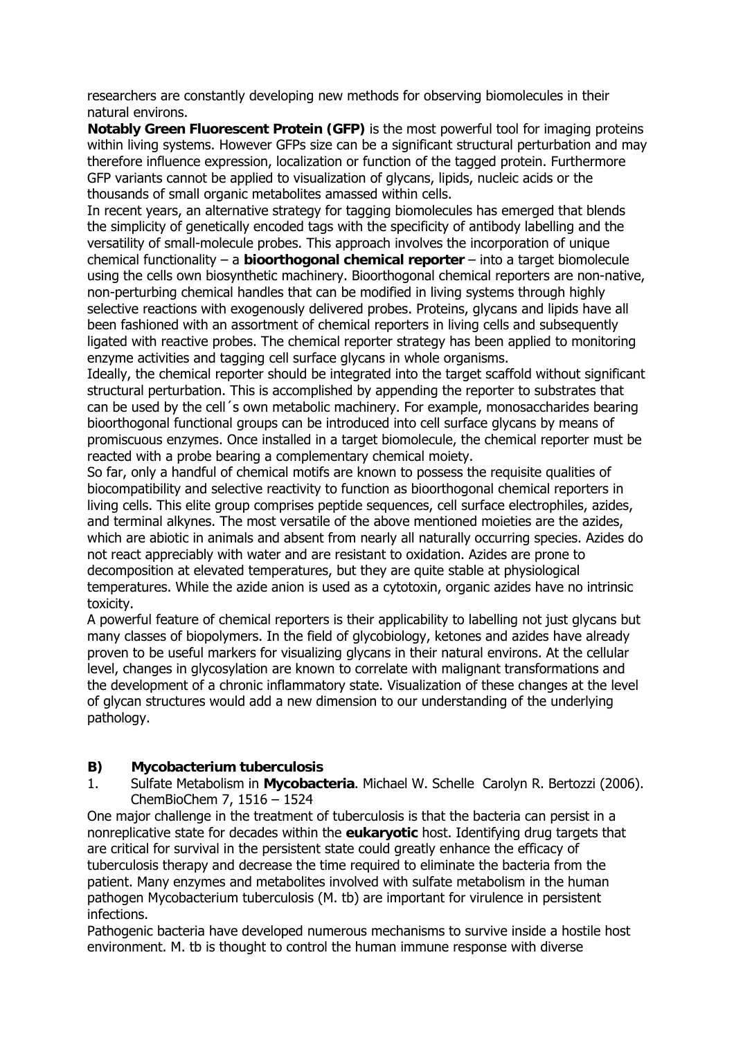researchers are constantly developing new methods for observing biomolecules in their natural environs.

**Notably Green Fluorescent Protein (GFP)** is the most powerful tool for imaging proteins within living systems. However GFPs size can be a significant structural perturbation and may therefore influence expression, localization or function of the tagged protein. Furthermore GFP variants cannot be applied to visualization of glycans, lipids, nucleic acids or the thousands of small organic metabolites amassed within cells.

In recent years, an alternative strategy for tagging biomolecules has emerged that blends the simplicity of genetically encoded tags with the specificity of antibody labelling and the versatility of small-molecule probes. This approach involves the incorporation of unique chemical functionality – a **bioorthogonal chemical reporter** – into a target biomolecule using the cells own biosynthetic machinery. Bioorthogonal chemical reporters are non-native, non-perturbing chemical handles that can be modified in living systems through highly selective reactions with exogenously delivered probes. Proteins, glycans and lipids have all been fashioned with an assortment of chemical reporters in living cells and subsequently ligated with reactive probes. The chemical reporter strategy has been applied to monitoring enzyme activities and tagging cell surface glycans in whole organisms.

Ideally, the chemical reporter should be integrated into the target scaffold without significant structural perturbation. This is accomplished by appending the reporter to substrates that can be used by the cell´s own metabolic machinery. For example, monosaccharides bearing bioorthogonal functional groups can be introduced into cell surface glycans by means of promiscuous enzymes. Once installed in a target biomolecule, the chemical reporter must be reacted with a probe bearing a complementary chemical moiety.

So far, only a handful of chemical motifs are known to possess the requisite qualities of biocompatibility and selective reactivity to function as bioorthogonal chemical reporters in living cells. This elite group comprises peptide sequences, cell surface electrophiles, azides, and terminal alkynes. The most versatile of the above mentioned moieties are the azides, which are abiotic in animals and absent from nearly all naturally occurring species. Azides do not react appreciably with water and are resistant to oxidation. Azides are prone to decomposition at elevated temperatures, but they are quite stable at physiological temperatures. While the azide anion is used as a cytotoxin, organic azides have no intrinsic toxicity.

A powerful feature of chemical reporters is their applicability to labelling not just glycans but many classes of biopolymers. In the field of glycobiology, ketones and azides have already proven to be useful markers for visualizing glycans in their natural environs. At the cellular level, changes in glycosylation are known to correlate with malignant transformations and the development of a chronic inflammatory state. Visualization of these changes at the level of glycan structures would add a new dimension to our understanding of the underlying pathology.

## **B) Mycobacterium tuberculosis**

1. Sulfate Metabolism in **Mycobacteria**. Michael W. Schelle Carolyn R. Bertozzi (2006). ChemBioChem 7, 1516 – 1524

One major challenge in the treatment of tuberculosis is that the bacteria can persist in a nonreplicative state for decades within the **eukaryotic** host. Identifying drug targets that are critical for survival in the persistent state could greatly enhance the efficacy of tuberculosis therapy and decrease the time required to eliminate the bacteria from the patient. Many enzymes and metabolites involved with sulfate metabolism in the human pathogen Mycobacterium tuberculosis (M. tb) are important for virulence in persistent infections.

Pathogenic bacteria have developed numerous mechanisms to survive inside a hostile host environment. M. tb is thought to control the human immune response with diverse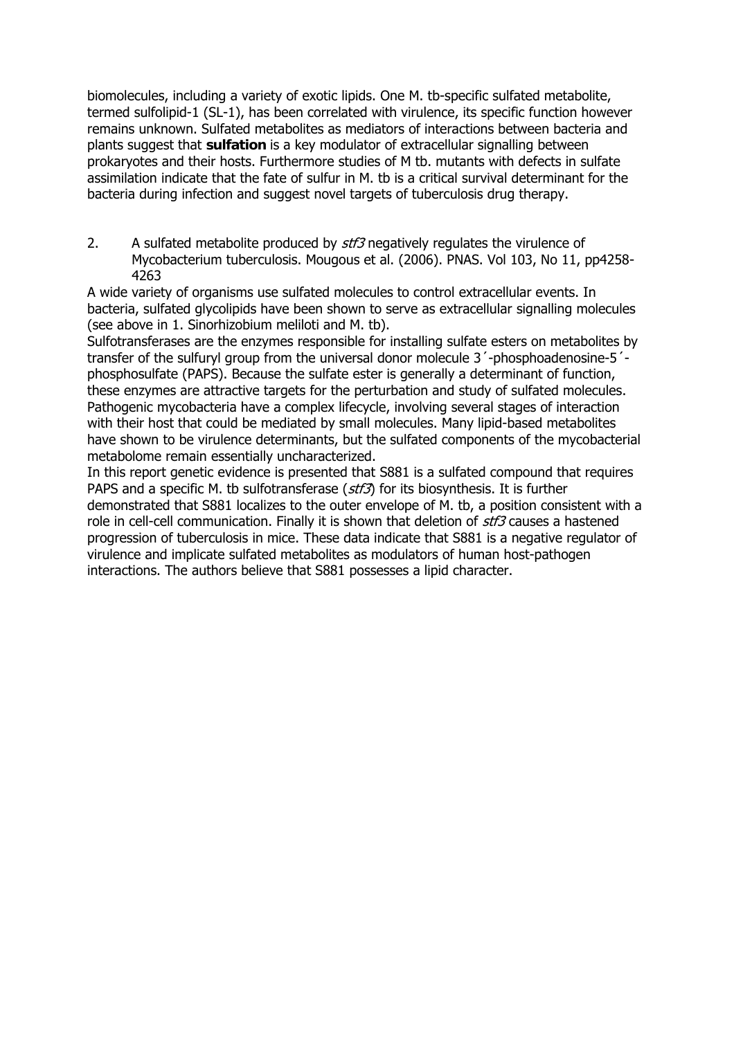biomolecules, including a variety of exotic lipids. One M. tb-specific sulfated metabolite, termed sulfolipid-1 (SL-1), has been correlated with virulence, its specific function however remains unknown. Sulfated metabolites as mediators of interactions between bacteria and plants suggest that **sulfation** is a key modulator of extracellular signalling between prokaryotes and their hosts. Furthermore studies of M tb. mutants with defects in sulfate assimilation indicate that the fate of sulfur in M. tb is a critical survival determinant for the bacteria during infection and suggest novel targets of tuberculosis drug therapy.

2. A sulfated metabolite produced by stf3 negatively regulates the virulence of Mycobacterium tuberculosis. Mougous et al. (2006). PNAS. Vol 103, No 11, pp4258- 4263

A wide variety of organisms use sulfated molecules to control extracellular events. In bacteria, sulfated glycolipids have been shown to serve as extracellular signalling molecules (see above in 1. Sinorhizobium meliloti and M. tb).

Sulfotransferases are the enzymes responsible for installing sulfate esters on metabolites by transfer of the sulfuryl group from the universal donor molecule 3<sup>'</sup>-phosphoadenosine-5<sup>'</sup>phosphosulfate (PAPS). Because the sulfate ester is generally a determinant of function, these enzymes are attractive targets for the perturbation and study of sulfated molecules. Pathogenic mycobacteria have a complex lifecycle, involving several stages of interaction with their host that could be mediated by small molecules. Many lipid-based metabolites have shown to be virulence determinants, but the sulfated components of the mycobacterial metabolome remain essentially uncharacterized.

In this report genetic evidence is presented that S881 is a sulfated compound that requires PAPS and a specific M. tb sulfotransferase ( $stf3$ ) for its biosynthesis. It is further demonstrated that S881 localizes to the outer envelope of M. tb, a position consistent with a role in cell-cell communication. Finally it is shown that deletion of stf3 causes a hastened progression of tuberculosis in mice. These data indicate that S881 is a negative regulator of virulence and implicate sulfated metabolites as modulators of human host-pathogen interactions. The authors believe that S881 possesses a lipid character.